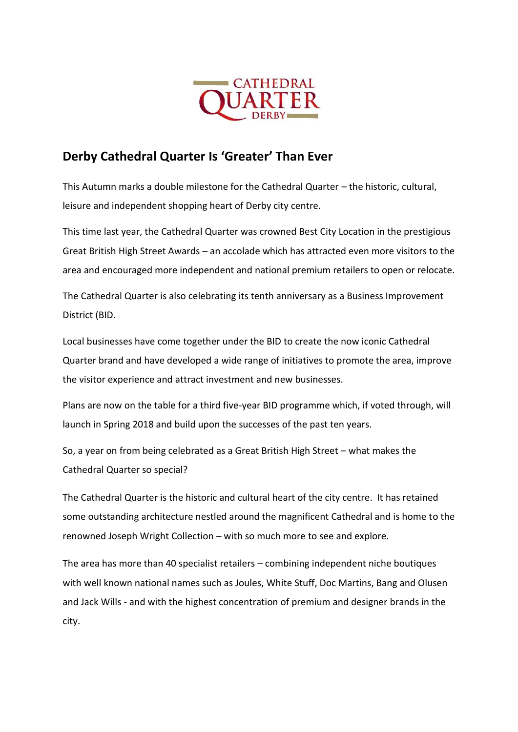

## **Derby Cathedral Quarter Is 'Greater' Than Ever**

This Autumn marks a double milestone for the Cathedral Quarter – the historic, cultural, leisure and independent shopping heart of Derby city centre.

This time last year, the Cathedral Quarter was crowned Best City Location in the prestigious Great British High Street Awards – an accolade which has attracted even more visitors to the area and encouraged more independent and national premium retailers to open or relocate.

The Cathedral Quarter is also celebrating its tenth anniversary as a Business Improvement District (BID.

Local businesses have come together under the BID to create the now iconic Cathedral Quarter brand and have developed a wide range of initiatives to promote the area, improve the visitor experience and attract investment and new businesses.

Plans are now on the table for a third five-year BID programme which, if voted through, will launch in Spring 2018 and build upon the successes of the past ten years.

So, a year on from being celebrated as a Great British High Street – what makes the Cathedral Quarter so special?

The Cathedral Quarter is the historic and cultural heart of the city centre. It has retained some outstanding architecture nestled around the magnificent Cathedral and is home to the renowned Joseph Wright Collection – with so much more to see and explore.

The area has more than 40 specialist retailers – combining independent niche boutiques with well known national names such as Joules, White Stuff, Doc Martins, Bang and Olusen and Jack Wills - and with the highest concentration of premium and designer brands in the city.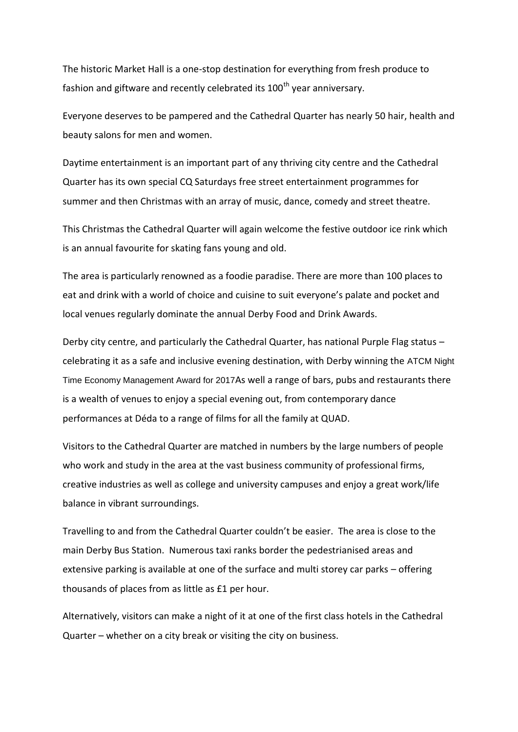The historic Market Hall is a one-stop destination for everything from fresh produce to fashion and giftware and recently celebrated its 100<sup>th</sup> year anniversary.

Everyone deserves to be pampered and the Cathedral Quarter has nearly 50 hair, health and beauty salons for men and women.

Daytime entertainment is an important part of any thriving city centre and the Cathedral Quarter has its own special CQ Saturdays free street entertainment programmes for summer and then Christmas with an array of music, dance, comedy and street theatre.

This Christmas the Cathedral Quarter will again welcome the festive outdoor ice rink which is an annual favourite for skating fans young and old.

The area is particularly renowned as a foodie paradise. There are more than 100 places to eat and drink with a world of choice and cuisine to suit everyone's palate and pocket and local venues regularly dominate the annual Derby Food and Drink Awards.

Derby city centre, and particularly the Cathedral Quarter, has national Purple Flag status – celebrating it as a safe and inclusive evening destination, with Derby winning the ATCM Night Time Economy Management Award for 2017As well a range of bars, pubs and restaurants there is a wealth of venues to enjoy a special evening out, from contemporary dance performances at Déda to a range of films for all the family at QUAD.

Visitors to the Cathedral Quarter are matched in numbers by the large numbers of people who work and study in the area at the vast business community of professional firms, creative industries as well as college and university campuses and enjoy a great work/life balance in vibrant surroundings.

Travelling to and from the Cathedral Quarter couldn't be easier. The area is close to the main Derby Bus Station. Numerous taxi ranks border the pedestrianised areas and extensive parking is available at one of the surface and multi storey car parks – offering thousands of places from as little as £1 per hour.

Alternatively, visitors can make a night of it at one of the first class hotels in the Cathedral Quarter – whether on a city break or visiting the city on business.